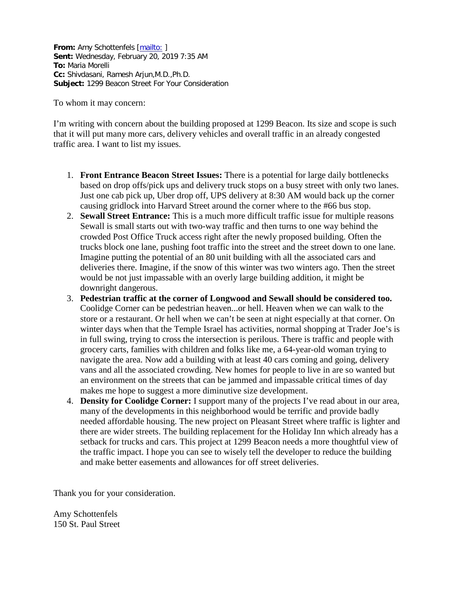**From:** Amy Schottenfels [\[mailto:](mailto:aschottenfels@gmail.com) ] **Sent:** Wednesday, February 20, 2019 7:35 AM **To:** Maria Morelli **Cc:** Shivdasani, Ramesh Arjun,M.D.,Ph.D. **Subject:** 1299 Beacon Street For Your Consideration

To whom it may concern:

I'm writing with concern about the building proposed at 1299 Beacon. Its size and scope is such that it will put many more cars, delivery vehicles and overall traffic in an already congested traffic area. I want to list my issues.

- 1. **Front Entrance Beacon Street Issues:** There is a potential for large daily bottlenecks based on drop offs/pick ups and delivery truck stops on a busy street with only two lanes. Just one cab pick up, Uber drop off, UPS delivery at 8:30 AM would back up the corner causing gridlock into Harvard Street around the corner where to the #66 bus stop.
- 2. **Sewall Street Entrance:** This is a much more difficult traffic issue for multiple reasons Sewall is small starts out with two-way traffic and then turns to one way behind the crowded Post Office Truck access right after the newly proposed building. Often the trucks block one lane, pushing foot traffic into the street and the street down to one lane. Imagine putting the potential of an 80 unit building with all the associated cars and deliveries there. Imagine, if the snow of this winter was two winters ago. Then the street would be not just impassable with an overly large building addition, it might be downright dangerous.
- 3. **Pedestrian traffic at the corner of Longwood and Sewall should be considered too.**  Coolidge Corner can be pedestrian heaven...or hell. Heaven when we can walk to the store or a restaurant. Or hell when we can't be seen at night especially at that corner. On winter days when that the Temple Israel has activities, normal shopping at Trader Joe's is in full swing, trying to cross the intersection is perilous. There is traffic and people with grocery carts, families with children and folks like me, a 64-year-old woman trying to navigate the area. Now add a building with at least 40 cars coming and going, delivery vans and all the associated crowding. New homes for people to live in are so wanted but an environment on the streets that can be jammed and impassable critical times of day makes me hope to suggest a more diminutive size development.
- 4. **Density for Coolidge Corner:** I support many of the projects I've read about in our area, many of the developments in this neighborhood would be terrific and provide badly needed affordable housing. The new project on Pleasant Street where traffic is lighter and there are wider streets. The building replacement for the Holiday Inn which already has a setback for trucks and cars. This project at 1299 Beacon needs a more thoughtful view of the traffic impact. I hope you can see to wisely tell the developer to reduce the building and make better easements and allowances for off street deliveries.

Thank you for your consideration.

Amy Schottenfels 150 St. Paul Street